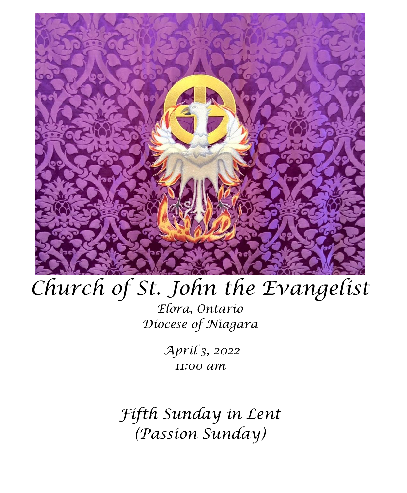

# *Church of St. John the Evangelist*

*Elora, Ontario Diocese of Niagara*

> *April 3, 2022 11:00 am*

*Fifth Sunday in Lent (Passion Sunday)*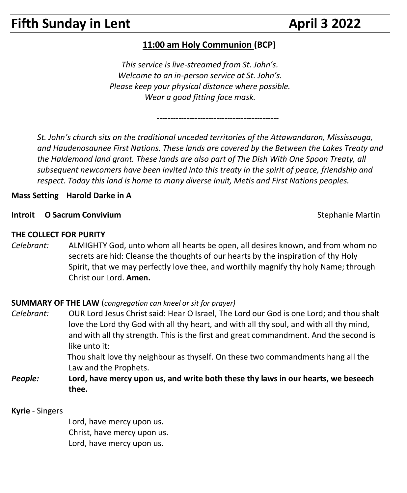# **Fifth Sunday in Lent April 3 2022**

### **11:00 am Holy Communion (BCP)**

*This service is live-streamed from St. John's. Welcome to an in-person service at St. John's. Please keep your physical distance where possible. Wear a good fitting face mask.*

*---------------------------------------------*

*St. John's church sits on the traditional unceded territories of the Attawandaron, Mississauga, and Haudenosaunee First Nations. These lands are covered by the Between the Lakes Treaty and the Haldemand land grant. These lands are also part of The Dish With One Spoon Treaty, all subsequent newcomers have been invited into this treaty in the spirit of peace, friendship and respect. Today this land is home to many diverse Inuit, Metis and First Nations peoples.* 

**Mass Setting Harold Darke in A**

#### **Introit O Sacrum Convivium** Stephanie Martin Convivium

**THE COLLECT FOR PURITY** 

*Celebrant:* ALMIGHTY God, unto whom all hearts be open, all desires known, and from whom no secrets are hid: Cleanse the thoughts of our hearts by the inspiration of thy Holy Spirit, that we may perfectly love thee, and worthily magnify thy holy Name; through Christ our Lord. **Amen.**

#### **SUMMARY OF THE LAW** (*congregation can kneel or sit for prayer)*

- *Celebrant:* OUR Lord Jesus Christ said: Hear O Israel, The Lord our God is one Lord; and thou shalt love the Lord thy God with all thy heart, and with all thy soul, and with all thy mind, and with all thy strength. This is the first and great commandment. And the second is like unto it: Thou shalt love thy neighbour as thyself. On these two commandments hang all the
	- Law and the Prophets.
- *People:* **Lord, have mercy upon us, and write both these thy laws in our hearts, we beseech thee.**

**Kyrie** - Singers

Lord, have mercy upon us. Christ, have mercy upon us. Lord, have mercy upon us.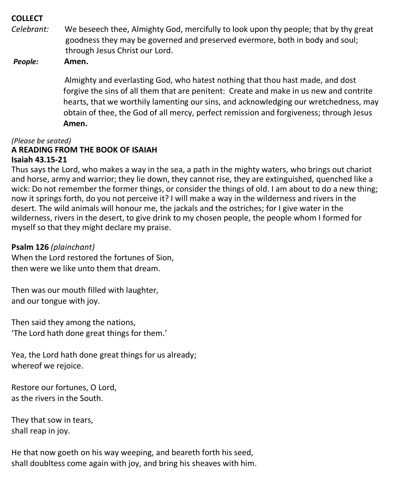#### **COLLECT**

*Celebrant:* We beseech thee, Almighty God, mercifully to look upon thy people; that by thy great goodness they may be governed and preserved evermore, both in body and soul; through Jesus Christ our Lord.

*People:* **Amen.**

Almighty and everlasting God, who hatest nothing that thou hast made, and dost forgive the sins of all them that are penitent: Create and make in us new and contrite hearts, that we worthily lamenting our sins, and acknowledging our wretchedness, may obtain of thee, the God of all mercy, perfect remission and forgiveness; through Jesus **Amen.**

#### *(Please be seated)* **A READING FROM THE BOOK OF ISAIAH Isaiah 43.15-21**

Thus says the Lord, who makes a way in the sea, a path in the mighty waters, who brings out chariot and horse, army and warrior; they lie down, they cannot rise, they are extinguished, quenched like a wick: Do not remember the former things, or consider the things of old. I am about to do a new thing; now it springs forth, do you not perceive it? I will make a way in the wilderness and rivers in the desert. The wild animals will honour me, the jackals and the ostriches; for I give water in the wilderness, rivers in the desert, to give drink to my chosen people, the people whom I formed for myself so that they might declare my praise.

#### **Psalm 126** *(plainchant)*

When the Lord restored the fortunes of Sion, then were we like unto them that dream.

Then was our mouth filled with laughter, and our tongue with joy.

Then said they among the nations, 'The Lord hath done great things for them.'

Yea, the Lord hath done great things for us already; whereof we rejoice.

Restore our fortunes, O Lord, as the rivers in the South.

They that sow in tears, shall reap in joy.

He that now goeth on his way weeping, and beareth forth his seed, shall doubltess come again with joy, and bring his sheaves with him.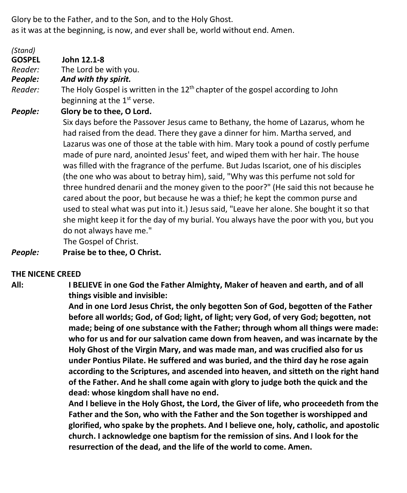Glory be to the Father, and to the Son, and to the Holy Ghost. as it was at the beginning, is now, and ever shall be, world without end. Amen.

*Reader:* The Holy Gospel is written in the 12th chapter of the gospel according to John beginning at the 1<sup>st</sup> verse. *People:* **Glory be to thee, O Lord.** Six days before the Passover Jesus came to Bethany, the home of Lazarus, whom he had raised from the dead. There they gave a dinner for him. Martha served, and Lazarus was one of those at the table with him. Mary took a pound of costly perfume made of pure nard, anointed Jesus' feet, and wiped them with her hair. The house was filled with the fragrance of the perfume. But Judas Iscariot, one of his disciples (the one who was about to betray him), said, "Why was this perfume not sold for three hundred denarii and the money given to the poor?" (He said this not because he cared about the poor, but because he was a thief; he kept the common purse and used to steal what was put into it.) Jesus said, "Leave her alone. She bought it so that she might keep it for the day of my burial. You always have the poor with you, but you do not always have me."

The Gospel of Christ.

*People:* **Praise be to thee, O Christ.**

#### **THE NICENE CREED**

*(Stand)*

**GOSPEL John 12.1-8**

*Reader:*The Lord be with you. *People: And with thy spirit.*

**All: I BELIEVE in one God the Father Almighty, Maker of heaven and earth, and of all things visible and invisible:**

> **And in one Lord Jesus Christ, the only begotten Son of God, begotten of the Father before all worlds; God, of God; light, of light; very God, of very God; begotten, not made; being of one substance with the Father; through whom all things were made: who for us and for our salvation came down from heaven, and was incarnate by the Holy Ghost of the Virgin Mary, and was made man, and was crucified also for us under Pontius Pilate. He suffered and was buried, and the third day he rose again according to the Scriptures, and ascended into heaven, and sitteth on the right hand of the Father. And he shall come again with glory to judge both the quick and the dead: whose kingdom shall have no end.**

> **And I believe in the Holy Ghost, the Lord, the Giver of life, who proceedeth from the Father and the Son, who with the Father and the Son together is worshipped and glorified, who spake by the prophets. And I believe one, holy, catholic, and apostolic church. I acknowledge one baptism for the remission of sins. And I look for the resurrection of the dead, and the life of the world to come. Amen.**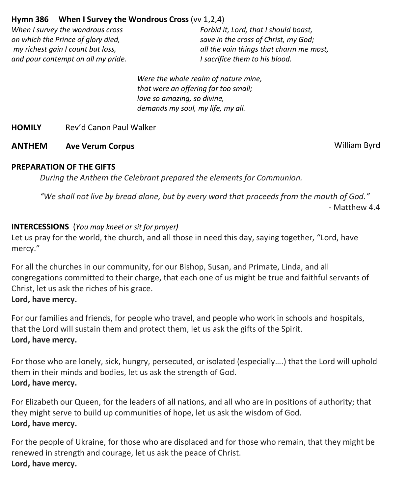#### **Hymn 386 When I Survey the Wondrous Cross** (vv 1,2,4)

*When I survey the wondrous cross on which the Prince of glory died, my richest gain I count but loss, and pour contempt on all my pride.* *Forbid it, Lord, that I should boast, save in the cross of Christ, my God; all the vain things that charm me most, I sacrifice them to his blood.*

*Were the whole realm of nature mine, that were an offering far too small; love so amazing, so divine, demands my soul, my life, my all.*

**HOMILY** Rev'd Canon Paul Walker

#### **ANTHEM Ave Verum Corpus** William Byrd

#### **PREPARATION OF THE GIFTS**

*During the Anthem the Celebrant prepared the elements for Communion.*

*"We shall not live by bread alone, but by every word that proceeds from the mouth of God."* - Matthew 4.4

#### **INTERCESSIONS** (*You may kneel or sit for prayer)*

Let us pray for the world, the church, and all those in need this day, saying together, "Lord, have mercy."

For all the churches in our community, for our Bishop, Susan, and Primate, Linda, and all congregations committed to their charge, that each one of us might be true and faithful servants of Christ, let us ask the riches of his grace.

#### **Lord, have mercy.**

For our families and friends, for people who travel, and people who work in schools and hospitals, that the Lord will sustain them and protect them, let us ask the gifts of the Spirit. **Lord, have mercy.**

For those who are lonely, sick, hungry, persecuted, or isolated (especially….) that the Lord will uphold them in their minds and bodies, let us ask the strength of God. **Lord, have mercy.**

For Elizabeth our Queen, for the leaders of all nations, and all who are in positions of authority; that they might serve to build up communities of hope, let us ask the wisdom of God. **Lord, have mercy.**

For the people of Ukraine, for those who are displaced and for those who remain, that they might be renewed in strength and courage, let us ask the peace of Christ. **Lord, have mercy.**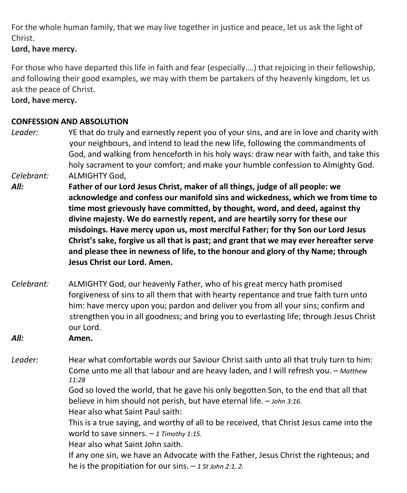For the whole human family, that we may live together in justice and peace, let us ask the light of Christ.

**Lord, have mercy.**

For those who have departed this life in faith and fear (especially….) that rejoicing in their fellowship, and following their good examples, we may with them be partakers of thy heavenly kingdom, let us ask the peace of Christ.

**Lord, have mercy.**

#### **CONFESSION AND ABSOLUTION**

- *Leader:* YE that do truly and earnestly repent you of your sins, and are in love and charity with your neighbours, and intend to lead the new life, following the commandments of God, and walking from henceforth in his holy ways: draw near with faith, and take this holy sacrament to your comfort; and make your humble confession to Almighty God. *Celebrant:* ALMIGHTY God,
- *All:* **Father of our Lord Jesus Christ, maker of all things, judge of all people: we acknowledge and confess our manifold sins and wickedness, which we from time to time most grievously have committed, by thought, word, and deed, against thy divine majesty. We do earnestly repent, and are heartily sorry for these our misdoings. Have mercy upon us, most merciful Father; for thy Son our Lord Jesus Christ's sake, forgive us all that is past; and grant that we may ever hereafter serve and please thee in newness of life, to the honour and glory of thy Name; through Jesus Christ our Lord. Amen.**
- *Celebrant:* ALMIGHTY God, our heavenly Father, who of his great mercy hath promised forgiveness of sins to all them that with hearty repentance and true faith turn unto him: have mercy upon you; pardon and deliver you from all your sins; confirm and strengthen you in all goodness; and bring you to everlasting life; through Jesus Christ our Lord.

*All:* **Amen.**

*Leader:* Hear what comfortable words our Saviour Christ saith unto all that truly turn to him: Come unto me all that labour and are heavy laden, and I will refresh you. – *Matthew 11:28*

God so loved the world, that he gave his only begotten Son, to the end that all that believe in him should not perish, but have eternal life. – *John 3:16.*

Hear also what Saint Paul saith:

This is a true saying, and worthy of all to be received, that Christ Jesus came into the world to save sinners. – *1 Timothy 1:15.*

Hear also what Saint John saith.

If any one sin, we have an Advocate with the Father, Jesus Christ the righteous; and he is the propitiation for our sins. – *1 St John 2:1, 2*.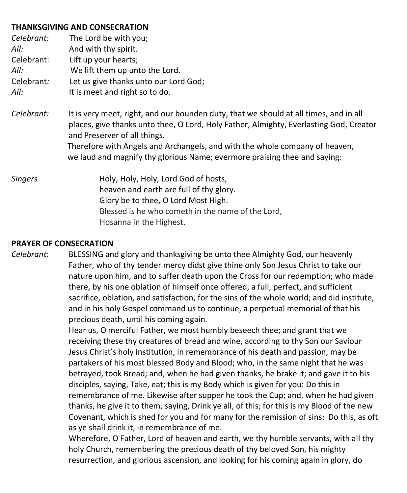#### **THANKSGIVING AND CONSECRATION**

| Celebrant:<br>All:<br>Celebrant:<br>All:<br>Celebrant:<br>All: | The Lord be with you;<br>And with thy spirit.<br>Lift up your hearts;<br>We lift them up unto the Lord.<br>Let us give thanks unto our Lord God;<br>It is meet and right so to do.                                                                                                                                                                                          |
|----------------------------------------------------------------|-----------------------------------------------------------------------------------------------------------------------------------------------------------------------------------------------------------------------------------------------------------------------------------------------------------------------------------------------------------------------------|
| Celebrant:                                                     | It is very meet, right, and our bounden duty, that we should at all times, and in all<br>places, give thanks unto thee, O Lord, Holy Father, Almighty, Everlasting God, Creator<br>and Preserver of all things.<br>Therefore with Angels and Archangels, and with the whole company of heaven,<br>we laud and magnify thy glorious Name; evermore praising thee and saying: |
| <b>Singers</b>                                                 | Holy, Holy, Holy, Lord God of hosts,<br>heaven and earth are full of thy glory.<br>Glory be to thee, O Lord Most High.<br>Blessed is he who cometh in the name of the Lord,<br>Hosanna in the Highest.                                                                                                                                                                      |

#### **PRAYER OF CONSECRATION**

*Celebrant*: BLESSING and glory and thanksgiving be unto thee Almighty God, our heavenly Father, who of thy tender mercy didst give thine only Son Jesus Christ to take our nature upon him, and to suffer death upon the Cross for our redemption; who made there, by his one oblation of himself once offered, a full, perfect, and sufficient sacrifice, oblation, and satisfaction, for the sins of the whole world; and did institute, and in his holy Gospel command us to continue, a perpetual memorial of that his precious death, until his coming again.

> Hear us, O merciful Father, we most humbly beseech thee; and grant that we receiving these thy creatures of bread and wine, according to thy Son our Saviour Jesus Christ's holy institution, in remembrance of his death and passion, may be partakers of his most blessed Body and Blood; who, in the same night that he was betrayed, took Bread; and, when he had given thanks, he brake it; and gave it to his disciples, saying, Take, eat; this is my Body which is given for you: Do this in remembrance of me. Likewise after supper he took the Cup; and, when he had given thanks, he give it to them, saying, Drink ye all, of this; for this is my Blood of the new Covenant, which is shed for you and for many for the remission of sins: Do this, as oft as ye shall drink it, in remembrance of me.

Wherefore, O Father, Lord of heaven and earth, we thy humble servants, with all thy holy Church, remembering the precious death of thy beloved Son, his mighty resurrection, and glorious ascension, and looking for his coming again in glory, do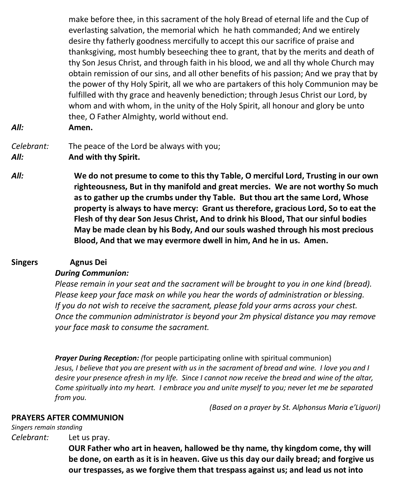make before thee, in this sacrament of the holy Bread of eternal life and the Cup of everlasting salvation, the memorial which he hath commanded; And we entirely desire thy fatherly goodness mercifully to accept this our sacrifice of praise and thanksgiving, most humbly beseeching thee to grant, that by the merits and death of thy Son Jesus Christ, and through faith in his blood, we and all thy whole Church may obtain remission of our sins, and all other benefits of his passion; And we pray that by the power of thy Holy Spirit, all we who are partakers of this holy Communion may be fulfilled with thy grace and heavenly benediction; through Jesus Christ our Lord, by whom and with whom, in the unity of the Holy Spirit, all honour and glory be unto thee, O Father Almighty, world without end.

- 
- *All:* **Amen.**

#### *Celebrant:* The peace of the Lord be always with you; *All:* **And with thy Spirit.**

*All:* **We do not presume to come to this thy Table, O merciful Lord, Trusting in our own righteousness, But in thy manifold and great mercies. We are not worthy So much as to gather up the crumbs under thy Table. But thou art the same Lord, Whose property is always to have mercy: Grant us therefore, gracious Lord, So to eat the Flesh of thy dear Son Jesus Christ, And to drink his Blood, That our sinful bodies May be made clean by his Body, And our souls washed through his most precious Blood, And that we may evermore dwell in him, And he in us. Amen.**

### **Singers Agnus Dei**

### *During Communion:*

*Please remain in your seat and the sacrament will be brought to you in one kind (bread). Please keep your face mask on while you hear the words of administration or blessing. If you do not wish to receive the sacrament, please fold your arms across your chest. Once the communion administrator is beyond your 2m physical distance you may remove your face mask to consume the sacrament.*

*Prayer During Reception: (*for people participating online with spiritual communion) Jesus, I believe that you are present with us in the sacrament of bread and wine. I love you and I desire your presence afresh in my life. Since I cannot now receive the bread and wine of the altar, *Come spiritually into my heart. I embrace you and unite myself to you; never let me be separated from you.*

*(Based on a prayer by St. Alphonsus Maria e'Liguori)*

### **PRAYERS AFTER COMMUNION**

*Singers remain standing*

*Celebrant:* Let us pray.

**OUR Father who art in heaven, hallowed be thy name, thy kingdom come, thy will be done, on earth as it is in heaven. Give us this day our daily bread; and forgive us our trespasses, as we forgive them that trespass against us; and lead us not into**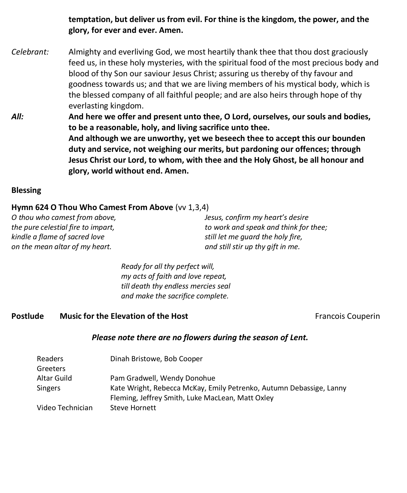**temptation, but deliver us from evil. For thine is the kingdom, the power, and the glory, for ever and ever. Amen.**

- *Celebrant:* Almighty and everliving God, we most heartily thank thee that thou dost graciously feed us, in these holy mysteries, with the spiritual food of the most precious body and blood of thy Son our saviour Jesus Christ; assuring us thereby of thy favour and goodness towards us; and that we are living members of his mystical body, which is the blessed company of all faithful people; and are also heirs through hope of thy everlasting kingdom.
- *All:* **And here we offer and present unto thee, O Lord, ourselves, our souls and bodies, to be a reasonable, holy, and living sacrifice unto thee. And although we are unworthy, yet we beseech thee to accept this our bounden duty and service, not weighing our merits, but pardoning our offences; through Jesus Christ our Lord, to whom, with thee and the Holy Ghost, be all honour and glory, world without end. Amen.**

#### **Blessing**

#### **Hymn 624 O Thou Who Camest From Above** (vv 1,3,4)

*O thou who camest from above, the pure celestial fire to impart, kindle a flame of sacred love on the mean altar of my heart.*

*Jesus, confirm my heart's desire to work and speak and think for thee; still let me guard the holy fire, and still stir up thy gift in me.*

*Ready for all thy perfect will, my acts of faith and love repeat, till death thy endless mercies seal and make the sacrifice complete.*

#### **Postlude Music for the Elevation of the Host <b>Francois Couperin** Francois Couperin

#### *Please note there are no flowers during the season of Lent.*

| Readers          | Dinah Bristowe, Bob Cooper                                          |
|------------------|---------------------------------------------------------------------|
| Greeters         |                                                                     |
| Altar Guild      | Pam Gradwell, Wendy Donohue                                         |
| Singers          | Kate Wright, Rebecca McKay, Emily Petrenko, Autumn Debassige, Lanny |
|                  | Fleming, Jeffrey Smith, Luke MacLean, Matt Oxley                    |
| Video Technician | Steve Hornett                                                       |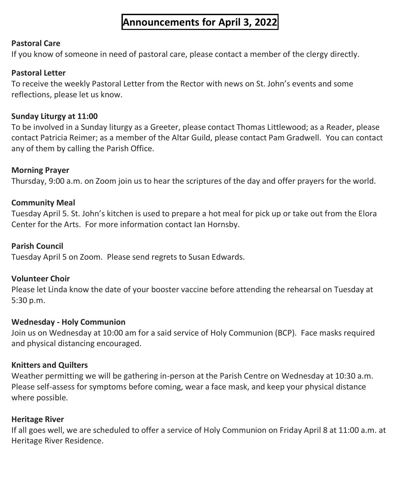# **Announcements for April 3, 2022**

#### **Pastoral Care**

If you know of someone in need of pastoral care, please contact a member of the clergy directly.

#### **Pastoral Letter**

To receive the weekly Pastoral Letter from the Rector with news on St. John's events and some reflections, please let us know.

#### **Sunday Liturgy at 11:00**

To be involved in a Sunday liturgy as a Greeter, please contact Thomas Littlewood; as a Reader, please contact Patricia Reimer; as a member of the Altar Guild, please contact Pam Gradwell. You can contact any of them by calling the Parish Office.

#### **Morning Prayer**

Thursday, 9:00 a.m. on Zoom join us to hear the scriptures of the day and offer prayers for the world.

#### **Community Meal**

Tuesday April 5. St. John's kitchen is used to prepare a hot meal for pick up or take out from the Elora Center for the Arts. For more information contact Ian Hornsby.

#### **Parish Council**

Tuesday April 5 on Zoom. Please send regrets to Susan Edwards.

#### **Volunteer Choir**

Please let Linda know the date of your booster vaccine before attending the rehearsal on Tuesday at 5:30 p.m.

#### **Wednesday - Holy Communion**

Join us on Wednesday at 10:00 am for a said service of Holy Communion (BCP). Face masks required and physical distancing encouraged.

#### **Knitters and Quilters**

Weather permitting we will be gathering in-person at the Parish Centre on Wednesday at 10:30 a.m. Please self-assess for symptoms before coming, wear a face mask, and keep your physical distance where possible.

#### **Heritage River**

If all goes well, we are scheduled to offer a service of Holy Communion on Friday April 8 at 11:00 a.m. at Heritage River Residence.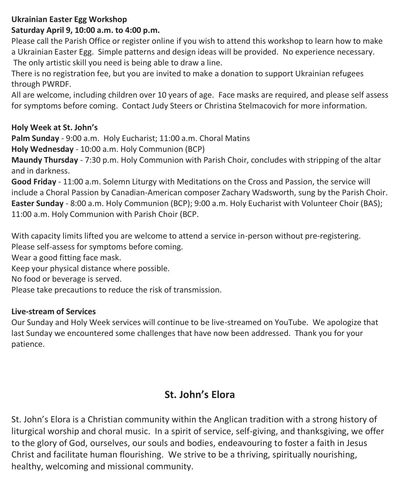### **Ukrainian Easter Egg Workshop**

## **Saturday April 9, 10:00 a.m. to 4:00 p.m.**

Please call the Parish Office or register online if you wish to attend this workshop to learn how to make a Ukrainian Easter Egg. Simple patterns and design ideas will be provided. No experience necessary. The only artistic skill you need is being able to draw a line.

There is no registration fee, but you are invited to make a donation to support Ukrainian refugees through PWRDF.

All are welcome, including children over 10 years of age. Face masks are required, and please self assess for symptoms before coming. Contact Judy Steers or Christina Stelmacovich for more information.

#### **Holy Week at St. John's**

**Palm Sunday** - 9:00 a.m. Holy Eucharist; 11:00 a.m. Choral Matins

**Holy Wednesday** - 10:00 a.m. Holy Communion (BCP)

**Maundy Thursday** - 7:30 p.m. Holy Communion with Parish Choir, concludes with stripping of the altar and in darkness.

**Good Friday** - 11:00 a.m. Solemn Liturgy with Meditations on the Cross and Passion, the service will include a Choral Passion by Canadian-American composer Zachary Wadsworth, sung by the Parish Choir. **Easter Sunday** - 8:00 a.m. Holy Communion (BCP); 9:00 a.m. Holy Eucharist with Volunteer Choir (BAS); 11:00 a.m. Holy Communion with Parish Choir (BCP.

With capacity limits lifted you are welcome to attend a service in-person without pre-registering. Please self-assess for symptoms before coming.

Wear a good fitting face mask.

Keep your physical distance where possible.

No food or beverage is served.

Please take precautions to reduce the risk of transmission.

#### **Live-stream of Services**

Our Sunday and Holy Week services will continue to be live-streamed on YouTube. We apologize that last Sunday we encountered some challenges that have now been addressed. Thank you for your patience.

# **St. John's Elora**

St. John's Elora is a Christian community within the Anglican tradition with a strong history of liturgical worship and choral music. In a spirit of service, self-giving, and thanksgiving, we offer to the glory of God, ourselves, our souls and bodies, endeavouring to foster a faith in Jesus Christ and facilitate human flourishing. We strive to be a thriving, spiritually nourishing, healthy, welcoming and missional community.